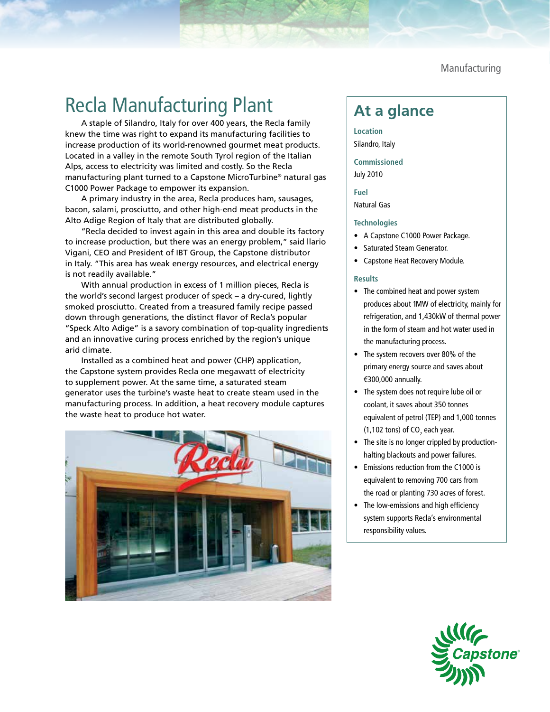Manufacturing

## Recla Manufacturing Plant **At a glance**

A staple of Silandro, Italy for over 400 years, the Recla family knew the time was right to expand its manufacturing facilities to increase production of its world-renowned gourmet meat products. Located in a valley in the remote South Tyrol region of the Italian Alps, access to electricity was limited and costly. So the Recla manufacturing plant turned to a Capstone MicroTurbine® natural gas C1000 Power Package to empower its expansion.

A primary industry in the area, Recla produces ham, sausages, bacon, salami, prosciutto, and other high-end meat products in the Alto Adige Region of Italy that are distributed globally.

"Recla decided to invest again in this area and double its factory to increase production, but there was an energy problem," said llario Vigani, CEO and President of IBT Group, the Capstone distributor in Italy. "This area has weak energy resources, and electrical energy is not readily available."

With annual production in excess of 1 million pieces, Recla is the world's second largest producer of speck – a dry-cured, lightly smoked prosciutto. Created from a treasured family recipe passed down through generations, the distinct flavor of Recla's popular "Speck Alto Adige" is a savory combination of top-quality ingredients and an innovative curing process enriched by the region's unique arid climate.

Installed as a combined heat and power (CHP) application, the Capstone system provides Recla one megawatt of electricity to supplement power. At the same time, a saturated steam generator uses the turbine's waste heat to create steam used in the manufacturing process. In addition, a heat recovery module captures the waste heat to produce hot water.



**Location** Silandro, Italy

**Commissioned** July 2010

**Fuel** Natural Gas

## **Technologies**

- A Capstone C1000 Power Package.
- Saturated Steam Generator.
- Capstone Heat Recovery Module.

## **Results**

- The combined heat and power system produces about 1MW of electricity, mainly for refrigeration, and 1,430kW of thermal power in the form of steam and hot water used in the manufacturing process.
- The system recovers over 80% of the primary energy source and saves about €300,000 annually.
- The system does not require lube oil or coolant, it saves about 350 tonnes equivalent of petrol (TEP) and 1,000 tonnes (1,102 tons) of CO<sub>2</sub> each year.
- The site is no longer crippled by productionhalting blackouts and power failures.
- Emissions reduction from the C1000 is equivalent to removing 700 cars from the road or planting 730 acres of forest.
- The low-emissions and high efficiency system supports Recla's environmental responsibility values.